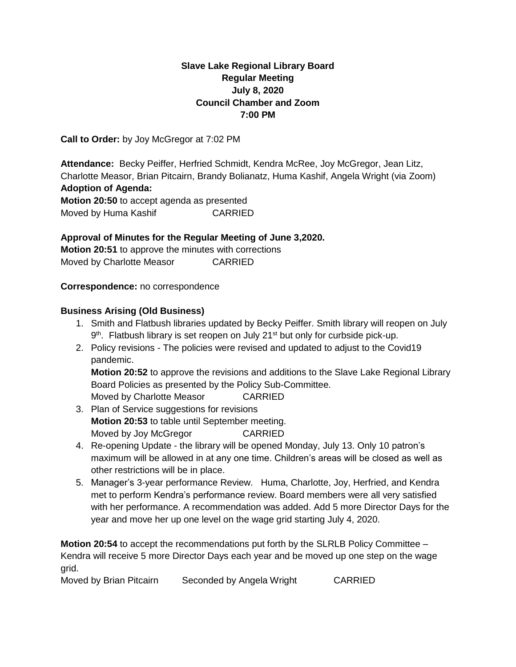# **Slave Lake Regional Library Board Regular Meeting July 8, 2020 Council Chamber and Zoom 7:00 PM**

**Call to Order:** by Joy McGregor at 7:02 PM

**Attendance:** Becky Peiffer, Herfried Schmidt, Kendra McRee, Joy McGregor, Jean Litz, Charlotte Measor, Brian Pitcairn, Brandy Bolianatz, Huma Kashif, Angela Wright (via Zoom) **Adoption of Agenda: Motion 20:50** to accept agenda as presented

Moved by Huma Kashif CARRIED

**Approval of Minutes for the Regular Meeting of June 3,2020. Motion 20:51** to approve the minutes with corrections Moved by Charlotte Measor CARRIED

**Correspondence:** no correspondence

## **Business Arising (Old Business)**

- 1. Smith and Flatbush libraries updated by Becky Peiffer. Smith library will reopen on July 9<sup>th</sup>. Flatbush library is set reopen on July 21<sup>st</sup> but only for curbside pick-up.
- 2. Policy revisions The policies were revised and updated to adjust to the Covid19 pandemic.

**Motion 20:52** to approve the revisions and additions to the Slave Lake Regional Library Board Policies as presented by the Policy Sub-Committee. Moved by Charlotte Measor CARRIED

- 3. Plan of Service suggestions for revisions **Motion 20:53** to table until September meeting. Moved by Joy McGregor CARRIED
- 4. Re-opening Update the library will be opened Monday, July 13. Only 10 patron's maximum will be allowed in at any one time. Children's areas will be closed as well as other restrictions will be in place.
- 5. Manager's 3-year performance Review. Huma, Charlotte, Joy, Herfried, and Kendra met to perform Kendra's performance review. Board members were all very satisfied with her performance. A recommendation was added. Add 5 more Director Days for the year and move her up one level on the wage grid starting July 4, 2020.

**Motion 20:54** to accept the recommendations put forth by the SLRLB Policy Committee – Kendra will receive 5 more Director Days each year and be moved up one step on the wage grid.

Moved by Brian Pitcairn Seconded by Angela Wright CARRIED